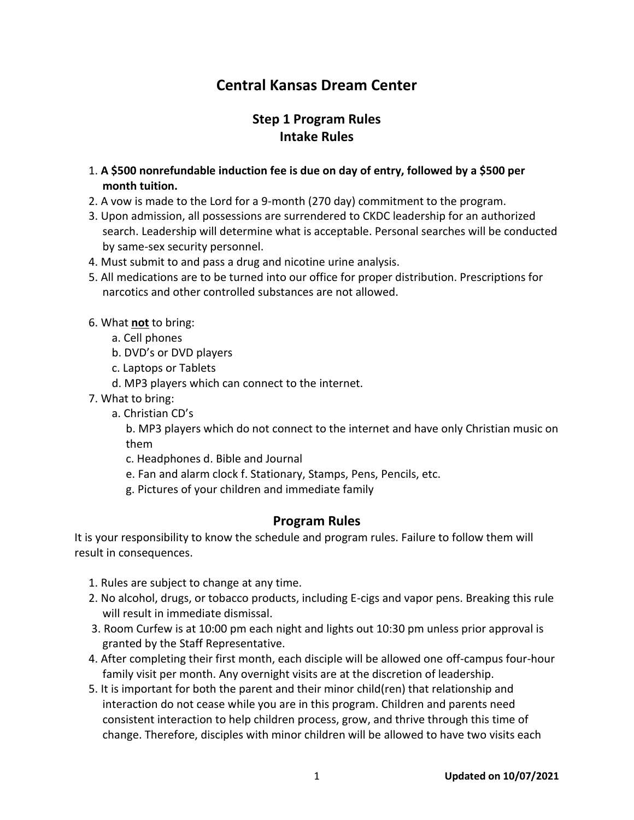# **Central Kansas Dream Center**

## **Step 1 Program Rules Intake Rules**

- 1. **A \$500 nonrefundable induction fee is due on day of entry, followed by a \$500 per month tuition.**
- 2. A vow is made to the Lord for a 9-month (270 day) commitment to the program.
- 3. Upon admission, all possessions are surrendered to CKDC leadership for an authorized search. Leadership will determine what is acceptable. Personal searches will be conducted by same-sex security personnel.
- 4. Must submit to and pass a drug and nicotine urine analysis.
- 5. All medications are to be turned into our office for proper distribution. Prescriptions for narcotics and other controlled substances are not allowed.
- 6. What **not** to bring:
	- a. Cell phones
	- b. DVD's or DVD players
	- c. Laptops or Tablets
	- d. MP3 players which can connect to the internet.
- 7. What to bring:
	- a. Christian CD's

b. MP3 players which do not connect to the internet and have only Christian music on them

- c. Headphones d. Bible and Journal
- e. Fan and alarm clock f. Stationary, Stamps, Pens, Pencils, etc.
- g. Pictures of your children and immediate family

## **Program Rules**

It is your responsibility to know the schedule and program rules. Failure to follow them will result in consequences.

- 1. Rules are subject to change at any time.
- 2. No alcohol, drugs, or tobacco products, including E-cigs and vapor pens. Breaking this rule will result in immediate dismissal.
- 3. Room Curfew is at 10:00 pm each night and lights out 10:30 pm unless prior approval is granted by the Staff Representative.
- 4. After completing their first month, each disciple will be allowed one off-campus four-hour family visit per month. Any overnight visits are at the discretion of leadership.
- 5. It is important for both the parent and their minor child(ren) that relationship and interaction do not cease while you are in this program. Children and parents need consistent interaction to help children process, grow, and thrive through this time of change. Therefore, disciples with minor children will be allowed to have two visits each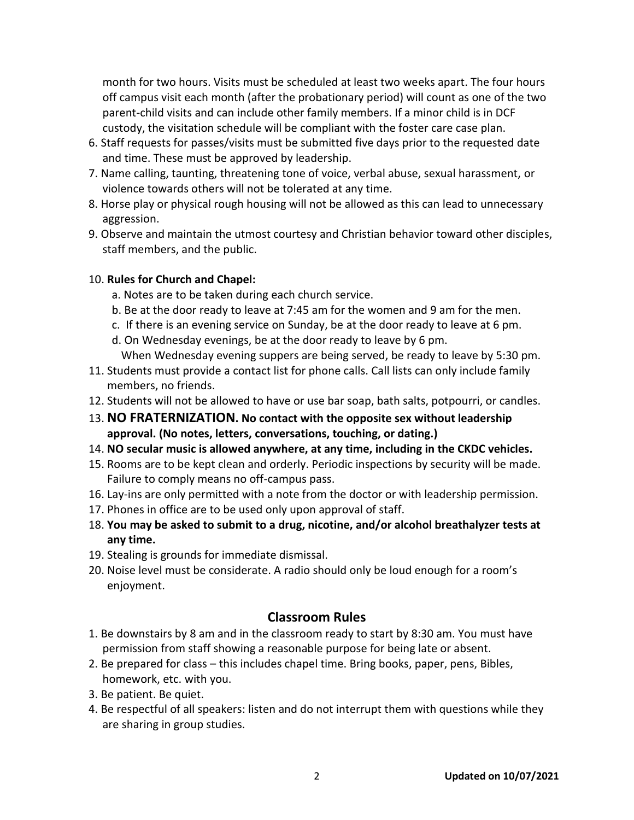month for two hours. Visits must be scheduled at least two weeks apart. The four hours off campus visit each month (after the probationary period) will count as one of the two parent-child visits and can include other family members. If a minor child is in DCF custody, the visitation schedule will be compliant with the foster care case plan.

- 6. Staff requests for passes/visits must be submitted five days prior to the requested date and time. These must be approved by leadership.
- 7. Name calling, taunting, threatening tone of voice, verbal abuse, sexual harassment, or violence towards others will not be tolerated at any time.
- 8. Horse play or physical rough housing will not be allowed as this can lead to unnecessary aggression.
- 9. Observe and maintain the utmost courtesy and Christian behavior toward other disciples, staff members, and the public.

#### 10. **Rules for Church and Chapel:**

- a. Notes are to be taken during each church service.
- b. Be at the door ready to leave at 7:45 am for the women and 9 am for the men.
- c. If there is an evening service on Sunday, be at the door ready to leave at 6 pm.
- d. On Wednesday evenings, be at the door ready to leave by 6 pm. When Wednesday evening suppers are being served, be ready to leave by 5:30 pm.
- 11. Students must provide a contact list for phone calls. Call lists can only include family members, no friends.
- 12. Students will not be allowed to have or use bar soap, bath salts, potpourri, or candles.
- 13. **NO FRATERNIZATION. No contact with the opposite sex without leadership approval. (No notes, letters, conversations, touching, or dating.)**
- 14. **NO secular music is allowed anywhere, at any time, including in the CKDC vehicles.**
- 15. Rooms are to be kept clean and orderly. Periodic inspections by security will be made. Failure to comply means no off-campus pass.
- 16. Lay-ins are only permitted with a note from the doctor or with leadership permission.
- 17. Phones in office are to be used only upon approval of staff.
- 18. **You may be asked to submit to a drug, nicotine, and/or alcohol breathalyzer tests at any time.**
- 19. Stealing is grounds for immediate dismissal.
- 20. Noise level must be considerate. A radio should only be loud enough for a room's enjoyment.

## **Classroom Rules**

- 1. Be downstairs by 8 am and in the classroom ready to start by 8:30 am. You must have permission from staff showing a reasonable purpose for being late or absent.
- 2. Be prepared for class this includes chapel time. Bring books, paper, pens, Bibles, homework, etc. with you.
- 3. Be patient. Be quiet.
- 4. Be respectful of all speakers: listen and do not interrupt them with questions while they are sharing in group studies.